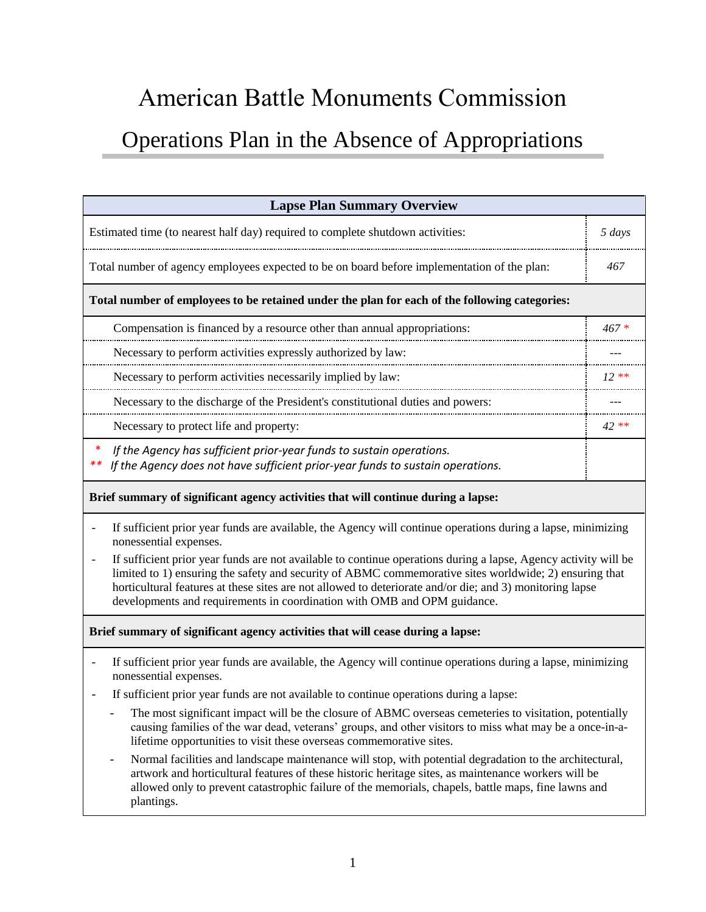# American Battle Monuments Commission Operations Plan in the Absence of Appropriations

| <b>Lapse Plan Summary Overview</b>                                                                                                                                                                                        |        |
|---------------------------------------------------------------------------------------------------------------------------------------------------------------------------------------------------------------------------|--------|
| Estimated time (to nearest half day) required to complete shutdown activities:                                                                                                                                            | 5 days |
| Total number of agency employees expected to be on board before implementation of the plan:                                                                                                                               | 467    |
| Total number of employees to be retained under the plan for each of the following categories:                                                                                                                             |        |
| Compensation is financed by a resource other than annual appropriations:                                                                                                                                                  | $467*$ |
| Necessary to perform activities expressly authorized by law:                                                                                                                                                              |        |
| Necessary to perform activities necessarily implied by law:                                                                                                                                                               | $12**$ |
| Necessary to the discharge of the President's constitutional duties and powers:                                                                                                                                           |        |
| Necessary to protect life and property:                                                                                                                                                                                   | 42 **  |
| ∗<br>If the Agency has sufficient prior-year funds to sustain operations.<br>**<br>If the Agency does not have sufficient prior-year funds to sustain operations.                                                         |        |
| Brief summary of significant agency activities that will continue during a lapse:                                                                                                                                         |        |
| If sufficient prior year funds are available, the Agency will continue operations during a lapse, minimizing<br>nonessential expenses.                                                                                    |        |
| If sufficient prior year funds are not available to continue operations during a lapse, Agency activity will be<br>limited to 1) ensuring the safety and security of ABMC commemorative sites worldwide; 2) ensuring that |        |

limited to 1) ensuring the safety and security of ABMC commemorative sites worldwide; 2) ensuring that horticultural features at these sites are not allowed to deteriorate and/or die; and 3) monitoring lapse developments and requirements in coordination with OMB and OPM guidance.

#### **Brief summary of significant agency activities that will cease during a lapse:**

- If sufficient prior year funds are available, the Agency will continue operations during a lapse, minimizing nonessential expenses.
- If sufficient prior year funds are not available to continue operations during a lapse:
	- The most significant impact will be the closure of ABMC overseas cemeteries to visitation, potentially causing families of the war dead, veterans' groups, and other visitors to miss what may be a once-in-alifetime opportunities to visit these overseas commemorative sites.
	- Normal facilities and landscape maintenance will stop, with potential degradation to the architectural, artwork and horticultural features of these historic heritage sites, as maintenance workers will be allowed only to prevent catastrophic failure of the memorials, chapels, battle maps, fine lawns and plantings.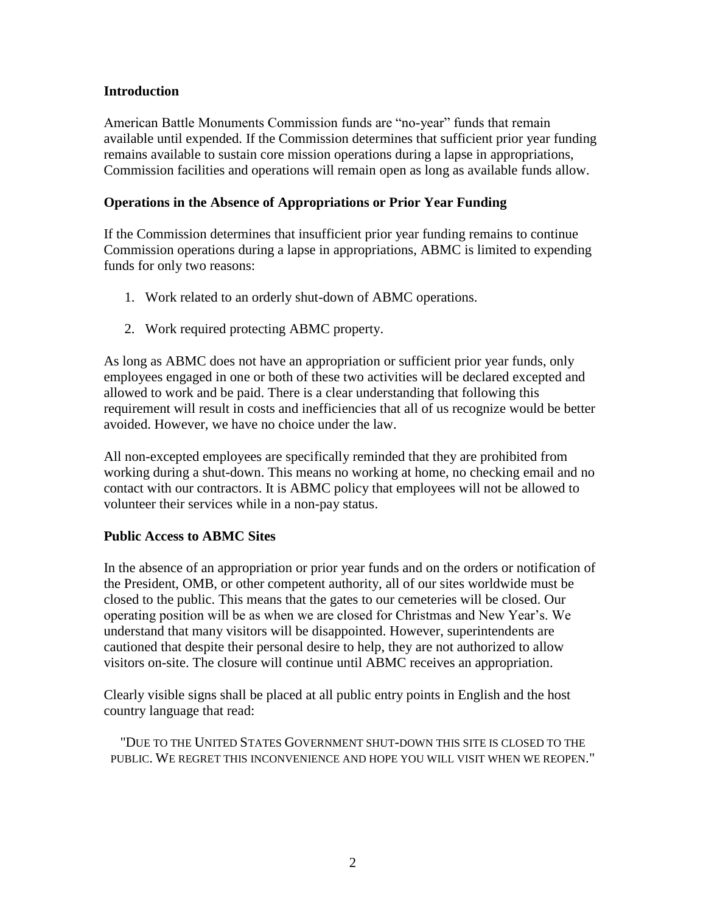#### **Introduction**

American Battle Monuments Commission funds are "no-year" funds that remain available until expended. If the Commission determines that sufficient prior year funding remains available to sustain core mission operations during a lapse in appropriations, Commission facilities and operations will remain open as long as available funds allow.

#### **Operations in the Absence of Appropriations or Prior Year Funding**

If the Commission determines that insufficient prior year funding remains to continue Commission operations during a lapse in appropriations, ABMC is limited to expending funds for only two reasons:

- 1. Work related to an orderly shut-down of ABMC operations.
- 2. Work required protecting ABMC property.

As long as ABMC does not have an appropriation or sufficient prior year funds, only employees engaged in one or both of these two activities will be declared excepted and allowed to work and be paid. There is a clear understanding that following this requirement will result in costs and inefficiencies that all of us recognize would be better avoided. However, we have no choice under the law.

All non-excepted employees are specifically reminded that they are prohibited from working during a shut-down. This means no working at home, no checking email and no contact with our contractors. It is ABMC policy that employees will not be allowed to volunteer their services while in a non-pay status.

#### **Public Access to ABMC Sites**

In the absence of an appropriation or prior year funds and on the orders or notification of the President, OMB, or other competent authority, all of our sites worldwide must be closed to the public. This means that the gates to our cemeteries will be closed. Our operating position will be as when we are closed for Christmas and New Year's. We understand that many visitors will be disappointed. However, superintendents are cautioned that despite their personal desire to help, they are not authorized to allow visitors on-site. The closure will continue until ABMC receives an appropriation.

Clearly visible signs shall be placed at all public entry points in English and the host country language that read:

"DUE TO THE UNITED STATES GOVERNMENT SHUT-DOWN THIS SITE IS CLOSED TO THE PUBLIC. WE REGRET THIS INCONVENIENCE AND HOPE YOU WILL VISIT WHEN WE REOPEN."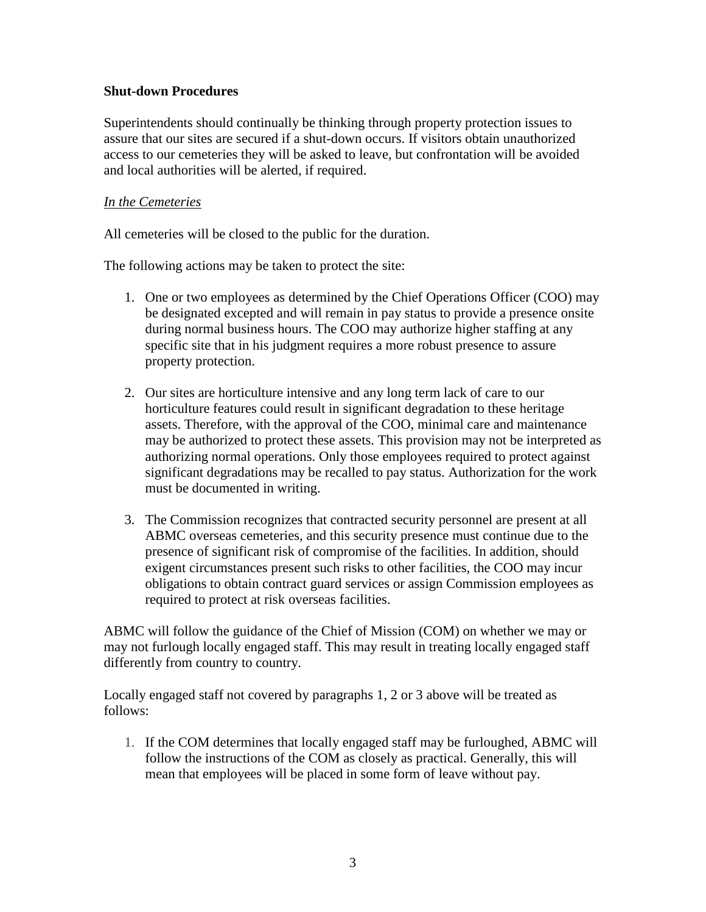#### **Shut-down Procedures**

Superintendents should continually be thinking through property protection issues to assure that our sites are secured if a shut-down occurs. If visitors obtain unauthorized access to our cemeteries they will be asked to leave, but confrontation will be avoided and local authorities will be alerted, if required.

#### *In the Cemeteries*

All cemeteries will be closed to the public for the duration.

The following actions may be taken to protect the site:

- 1. One or two employees as determined by the Chief Operations Officer (COO) may be designated excepted and will remain in pay status to provide a presence onsite during normal business hours. The COO may authorize higher staffing at any specific site that in his judgment requires a more robust presence to assure property protection.
- 2. Our sites are horticulture intensive and any long term lack of care to our horticulture features could result in significant degradation to these heritage assets. Therefore, with the approval of the COO, minimal care and maintenance may be authorized to protect these assets. This provision may not be interpreted as authorizing normal operations. Only those employees required to protect against significant degradations may be recalled to pay status. Authorization for the work must be documented in writing.
- 3. The Commission recognizes that contracted security personnel are present at all ABMC overseas cemeteries, and this security presence must continue due to the presence of significant risk of compromise of the facilities. In addition, should exigent circumstances present such risks to other facilities, the COO may incur obligations to obtain contract guard services or assign Commission employees as required to protect at risk overseas facilities.

ABMC will follow the guidance of the Chief of Mission (COM) on whether we may or may not furlough locally engaged staff. This may result in treating locally engaged staff differently from country to country.

Locally engaged staff not covered by paragraphs 1, 2 or 3 above will be treated as follows:

1. If the COM determines that locally engaged staff may be furloughed, ABMC will follow the instructions of the COM as closely as practical. Generally, this will mean that employees will be placed in some form of leave without pay.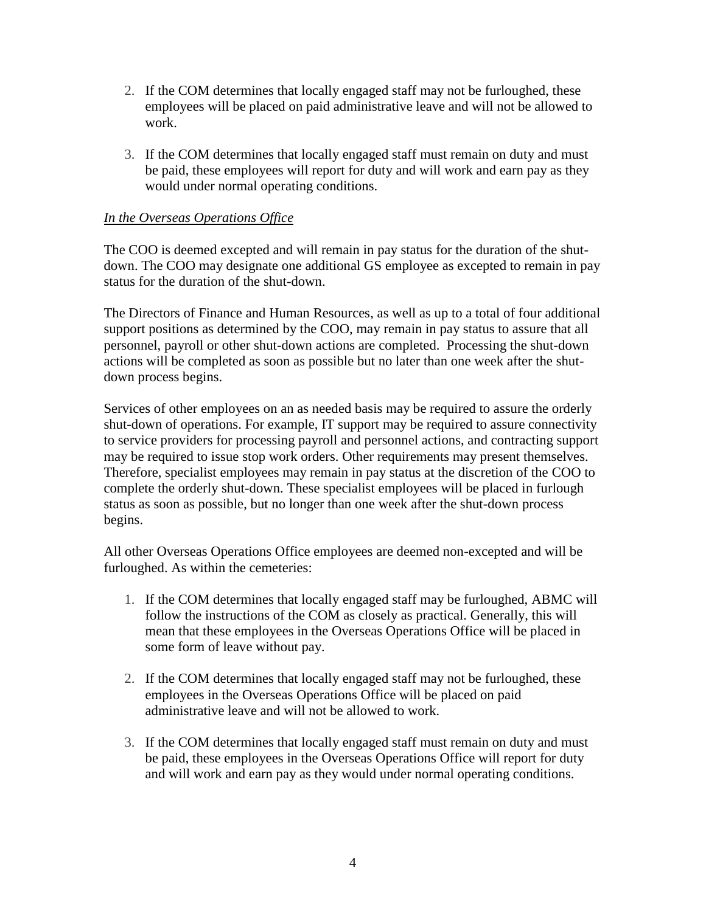- 2. If the COM determines that locally engaged staff may not be furloughed, these employees will be placed on paid administrative leave and will not be allowed to work.
- 3. If the COM determines that locally engaged staff must remain on duty and must be paid, these employees will report for duty and will work and earn pay as they would under normal operating conditions.

#### *In the Overseas Operations Office*

The COO is deemed excepted and will remain in pay status for the duration of the shutdown. The COO may designate one additional GS employee as excepted to remain in pay status for the duration of the shut-down.

The Directors of Finance and Human Resources, as well as up to a total of four additional support positions as determined by the COO, may remain in pay status to assure that all personnel, payroll or other shut-down actions are completed. Processing the shut-down actions will be completed as soon as possible but no later than one week after the shutdown process begins.

Services of other employees on an as needed basis may be required to assure the orderly shut-down of operations. For example, IT support may be required to assure connectivity to service providers for processing payroll and personnel actions, and contracting support may be required to issue stop work orders. Other requirements may present themselves. Therefore, specialist employees may remain in pay status at the discretion of the COO to complete the orderly shut-down. These specialist employees will be placed in furlough status as soon as possible, but no longer than one week after the shut-down process begins.

All other Overseas Operations Office employees are deemed non-excepted and will be furloughed. As within the cemeteries:

- 1. If the COM determines that locally engaged staff may be furloughed, ABMC will follow the instructions of the COM as closely as practical. Generally, this will mean that these employees in the Overseas Operations Office will be placed in some form of leave without pay.
- 2. If the COM determines that locally engaged staff may not be furloughed, these employees in the Overseas Operations Office will be placed on paid administrative leave and will not be allowed to work.
- 3. If the COM determines that locally engaged staff must remain on duty and must be paid, these employees in the Overseas Operations Office will report for duty and will work and earn pay as they would under normal operating conditions.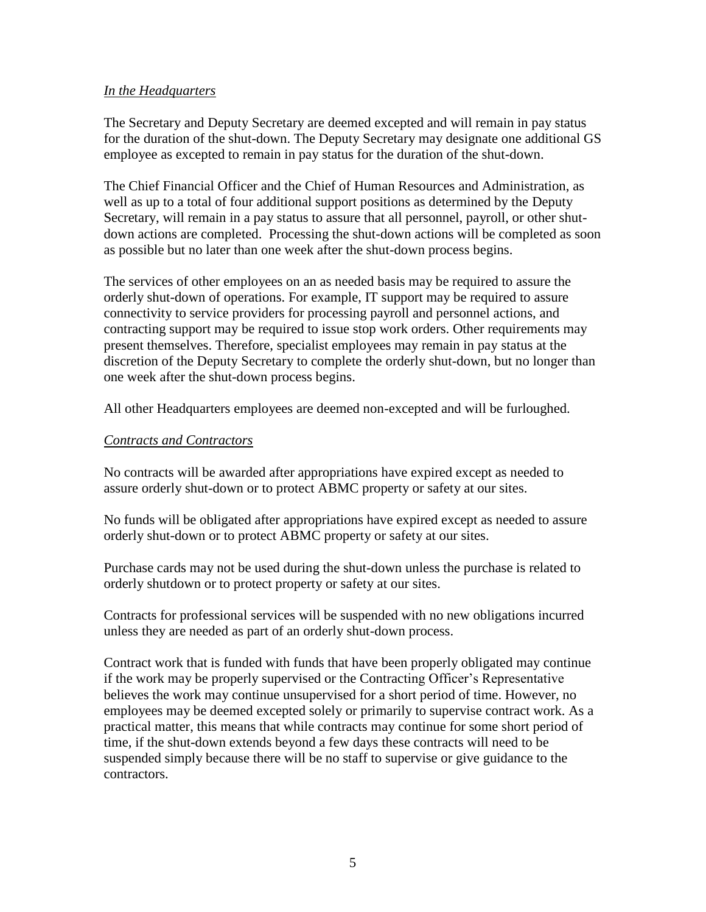#### *In the Headquarters*

The Secretary and Deputy Secretary are deemed excepted and will remain in pay status for the duration of the shut-down. The Deputy Secretary may designate one additional GS employee as excepted to remain in pay status for the duration of the shut-down.

The Chief Financial Officer and the Chief of Human Resources and Administration, as well as up to a total of four additional support positions as determined by the Deputy Secretary, will remain in a pay status to assure that all personnel, payroll, or other shutdown actions are completed. Processing the shut-down actions will be completed as soon as possible but no later than one week after the shut-down process begins.

The services of other employees on an as needed basis may be required to assure the orderly shut-down of operations. For example, IT support may be required to assure connectivity to service providers for processing payroll and personnel actions, and contracting support may be required to issue stop work orders. Other requirements may present themselves. Therefore, specialist employees may remain in pay status at the discretion of the Deputy Secretary to complete the orderly shut-down, but no longer than one week after the shut-down process begins.

All other Headquarters employees are deemed non-excepted and will be furloughed.

#### *Contracts and Contractors*

No contracts will be awarded after appropriations have expired except as needed to assure orderly shut-down or to protect ABMC property or safety at our sites.

No funds will be obligated after appropriations have expired except as needed to assure orderly shut-down or to protect ABMC property or safety at our sites.

Purchase cards may not be used during the shut-down unless the purchase is related to orderly shutdown or to protect property or safety at our sites.

Contracts for professional services will be suspended with no new obligations incurred unless they are needed as part of an orderly shut-down process.

Contract work that is funded with funds that have been properly obligated may continue if the work may be properly supervised or the Contracting Officer's Representative believes the work may continue unsupervised for a short period of time. However, no employees may be deemed excepted solely or primarily to supervise contract work. As a practical matter, this means that while contracts may continue for some short period of time, if the shut-down extends beyond a few days these contracts will need to be suspended simply because there will be no staff to supervise or give guidance to the contractors.